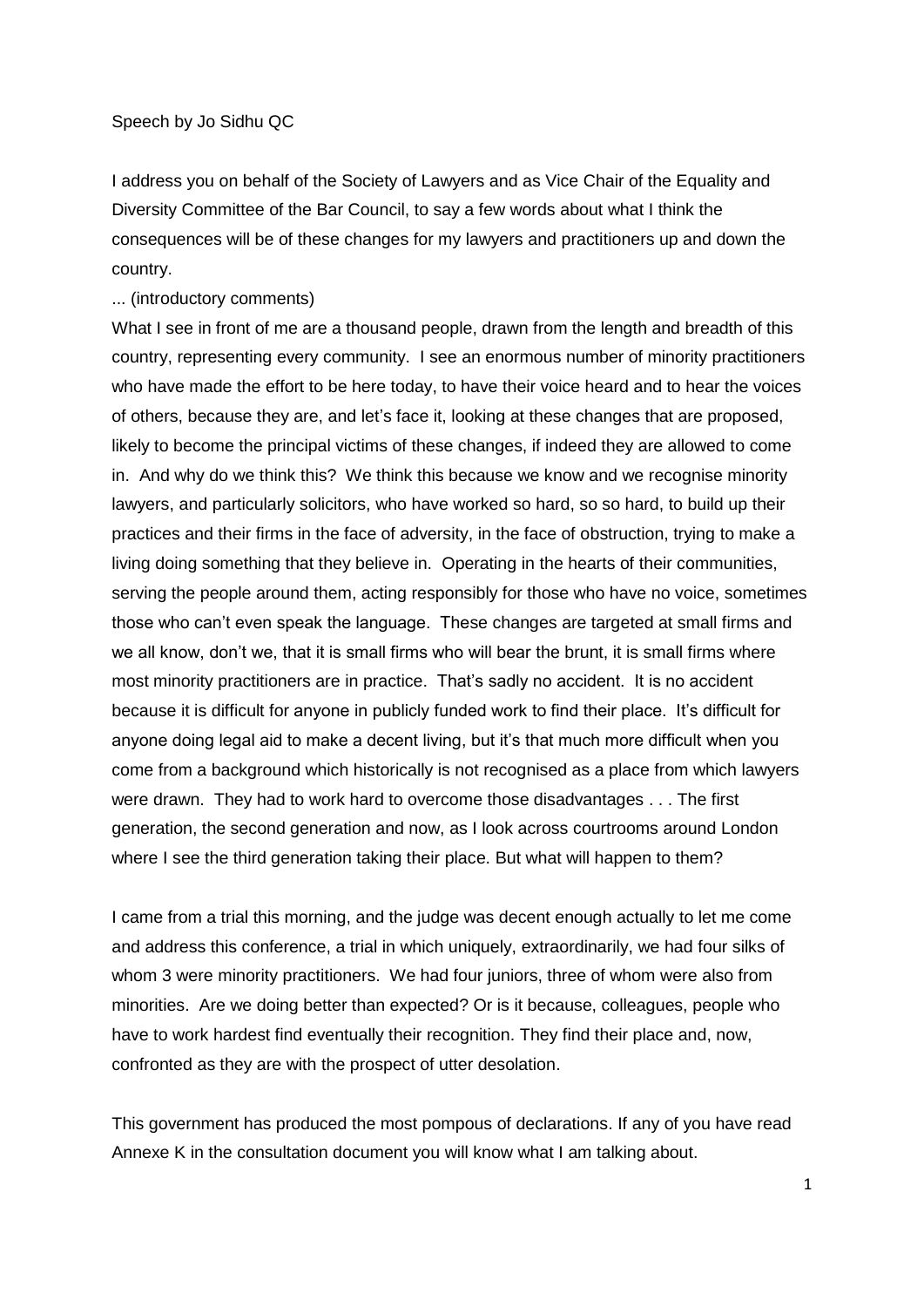I address you on behalf of the Society of Lawyers and as Vice Chair of the Equality and Diversity Committee of the Bar Council, to say a few words about what I think the consequences will be of these changes for my lawyers and practitioners up and down the country.

... (introductory comments)

What I see in front of me are a thousand people, drawn from the length and breadth of this country, representing every community. I see an enormous number of minority practitioners who have made the effort to be here today, to have their voice heard and to hear the voices of others, because they are, and let's face it, looking at these changes that are proposed, likely to become the principal victims of these changes, if indeed they are allowed to come in. And why do we think this? We think this because we know and we recognise minority lawyers, and particularly solicitors, who have worked so hard, so so hard, to build up their practices and their firms in the face of adversity, in the face of obstruction, trying to make a living doing something that they believe in. Operating in the hearts of their communities, serving the people around them, acting responsibly for those who have no voice, sometimes those who can't even speak the language. These changes are targeted at small firms and we all know, don't we, that it is small firms who will bear the brunt, it is small firms where most minority practitioners are in practice. That's sadly no accident. It is no accident because it is difficult for anyone in publicly funded work to find their place. It's difficult for anyone doing legal aid to make a decent living, but it's that much more difficult when you come from a background which historically is not recognised as a place from which lawyers were drawn. They had to work hard to overcome those disadvantages . . . The first generation, the second generation and now, as I look across courtrooms around London where I see the third generation taking their place. But what will happen to them?

I came from a trial this morning, and the judge was decent enough actually to let me come and address this conference, a trial in which uniquely, extraordinarily, we had four silks of whom 3 were minority practitioners. We had four juniors, three of whom were also from minorities. Are we doing better than expected? Or is it because, colleagues, people who have to work hardest find eventually their recognition. They find their place and, now, confronted as they are with the prospect of utter desolation.

This government has produced the most pompous of declarations. If any of you have read Annexe K in the consultation document you will know what I am talking about.

1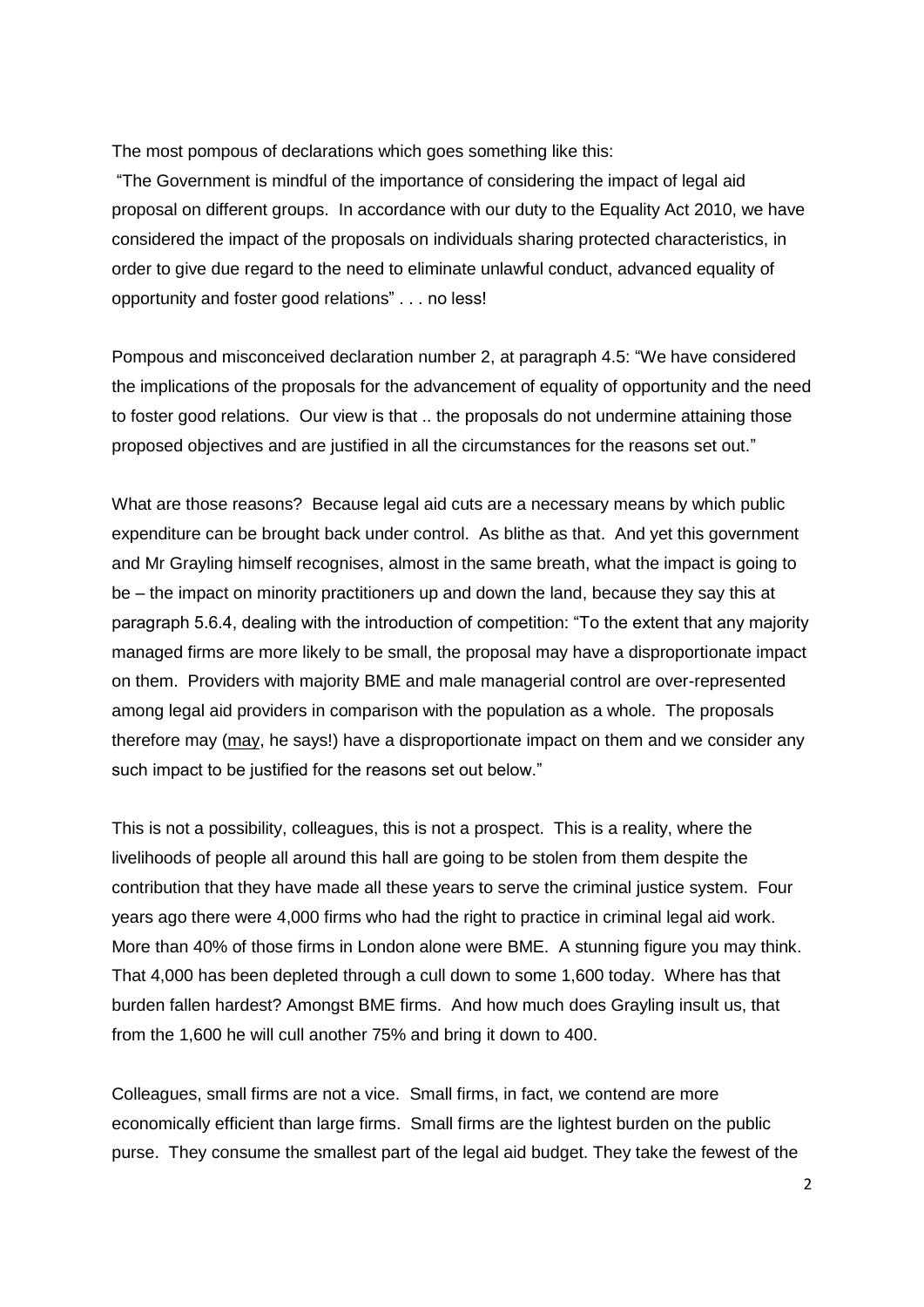The most pompous of declarations which goes something like this:

"The Government is mindful of the importance of considering the impact of legal aid proposal on different groups. In accordance with our duty to the Equality Act 2010, we have considered the impact of the proposals on individuals sharing protected characteristics, in order to give due regard to the need to eliminate unlawful conduct, advanced equality of opportunity and foster good relations" . . . no less!

Pompous and misconceived declaration number 2, at paragraph 4.5: "We have considered the implications of the proposals for the advancement of equality of opportunity and the need to foster good relations. Our view is that .. the proposals do not undermine attaining those proposed objectives and are justified in all the circumstances for the reasons set out."

What are those reasons? Because legal aid cuts are a necessary means by which public expenditure can be brought back under control. As blithe as that. And yet this government and Mr Grayling himself recognises, almost in the same breath, what the impact is going to be – the impact on minority practitioners up and down the land, because they say this at paragraph 5.6.4, dealing with the introduction of competition: "To the extent that any majority managed firms are more likely to be small, the proposal may have a disproportionate impact on them. Providers with majority BME and male managerial control are over-represented among legal aid providers in comparison with the population as a whole. The proposals therefore may (may, he says!) have a disproportionate impact on them and we consider any such impact to be justified for the reasons set out below."

This is not a possibility, colleagues, this is not a prospect. This is a reality, where the livelihoods of people all around this hall are going to be stolen from them despite the contribution that they have made all these years to serve the criminal justice system. Four years ago there were 4,000 firms who had the right to practice in criminal legal aid work. More than 40% of those firms in London alone were BME. A stunning figure you may think. That 4,000 has been depleted through a cull down to some 1,600 today. Where has that burden fallen hardest? Amongst BME firms. And how much does Grayling insult us, that from the 1,600 he will cull another 75% and bring it down to 400.

Colleagues, small firms are not a vice. Small firms, in fact, we contend are more economically efficient than large firms. Small firms are the lightest burden on the public purse. They consume the smallest part of the legal aid budget. They take the fewest of the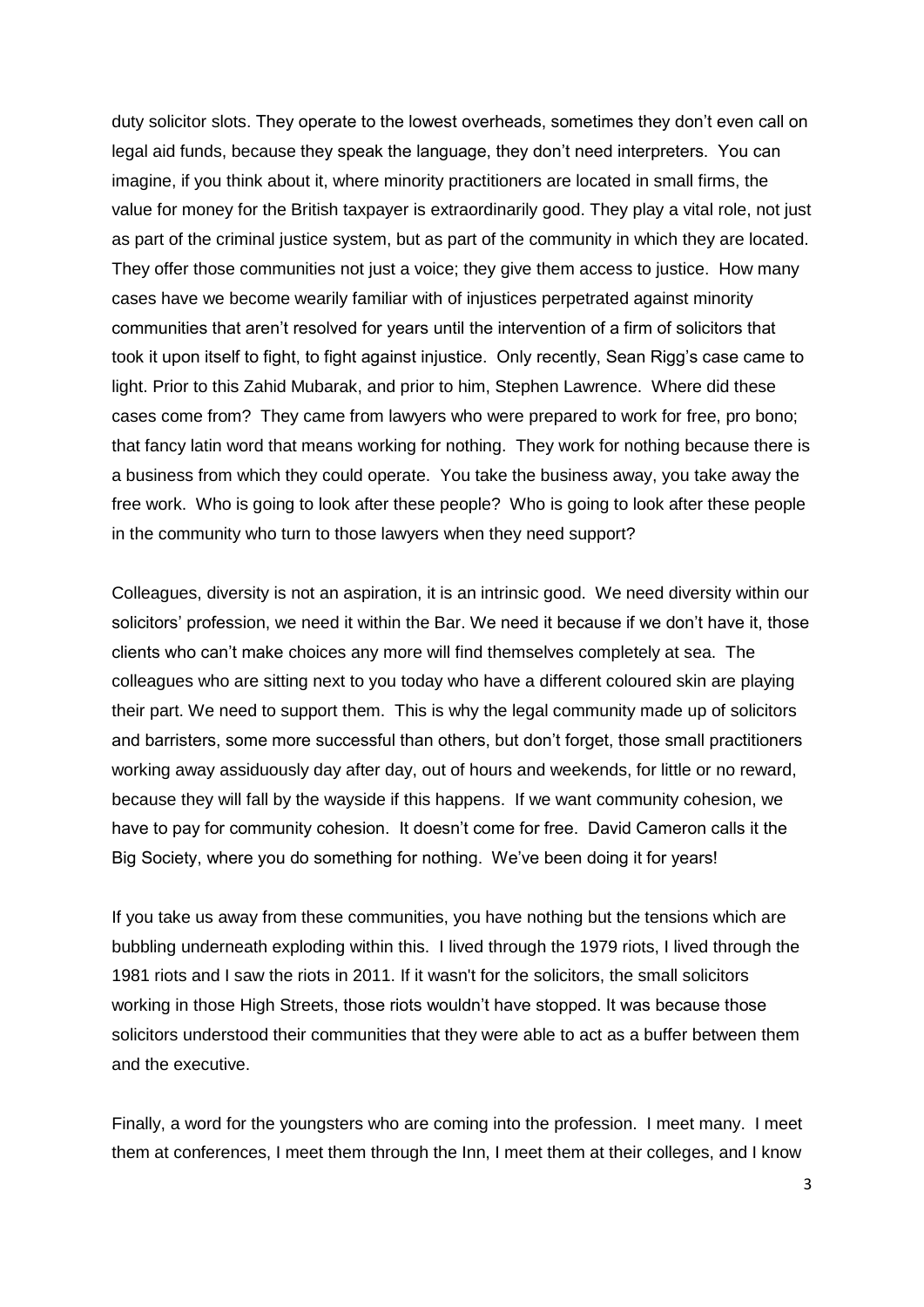duty solicitor slots. They operate to the lowest overheads, sometimes they don't even call on legal aid funds, because they speak the language, they don't need interpreters. You can imagine, if you think about it, where minority practitioners are located in small firms, the value for money for the British taxpayer is extraordinarily good. They play a vital role, not just as part of the criminal justice system, but as part of the community in which they are located. They offer those communities not just a voice; they give them access to justice. How many cases have we become wearily familiar with of injustices perpetrated against minority communities that aren't resolved for years until the intervention of a firm of solicitors that took it upon itself to fight, to fight against injustice. Only recently, Sean Rigg's case came to light. Prior to this Zahid Mubarak, and prior to him, Stephen Lawrence. Where did these cases come from? They came from lawyers who were prepared to work for free, pro bono; that fancy latin word that means working for nothing. They work for nothing because there is a business from which they could operate. You take the business away, you take away the free work. Who is going to look after these people? Who is going to look after these people in the community who turn to those lawyers when they need support?

Colleagues, diversity is not an aspiration, it is an intrinsic good. We need diversity within our solicitors' profession, we need it within the Bar. We need it because if we don't have it, those clients who can't make choices any more will find themselves completely at sea. The colleagues who are sitting next to you today who have a different coloured skin are playing their part. We need to support them. This is why the legal community made up of solicitors and barristers, some more successful than others, but don't forget, those small practitioners working away assiduously day after day, out of hours and weekends, for little or no reward, because they will fall by the wayside if this happens. If we want community cohesion, we have to pay for community cohesion. It doesn't come for free. David Cameron calls it the Big Society, where you do something for nothing. We've been doing it for years!

If you take us away from these communities, you have nothing but the tensions which are bubbling underneath exploding within this. I lived through the 1979 riots, I lived through the 1981 riots and I saw the riots in 2011. If it wasn't for the solicitors, the small solicitors working in those High Streets, those riots wouldn't have stopped. It was because those solicitors understood their communities that they were able to act as a buffer between them and the executive.

Finally, a word for the youngsters who are coming into the profession. I meet many. I meet them at conferences, I meet them through the Inn, I meet them at their colleges, and I know